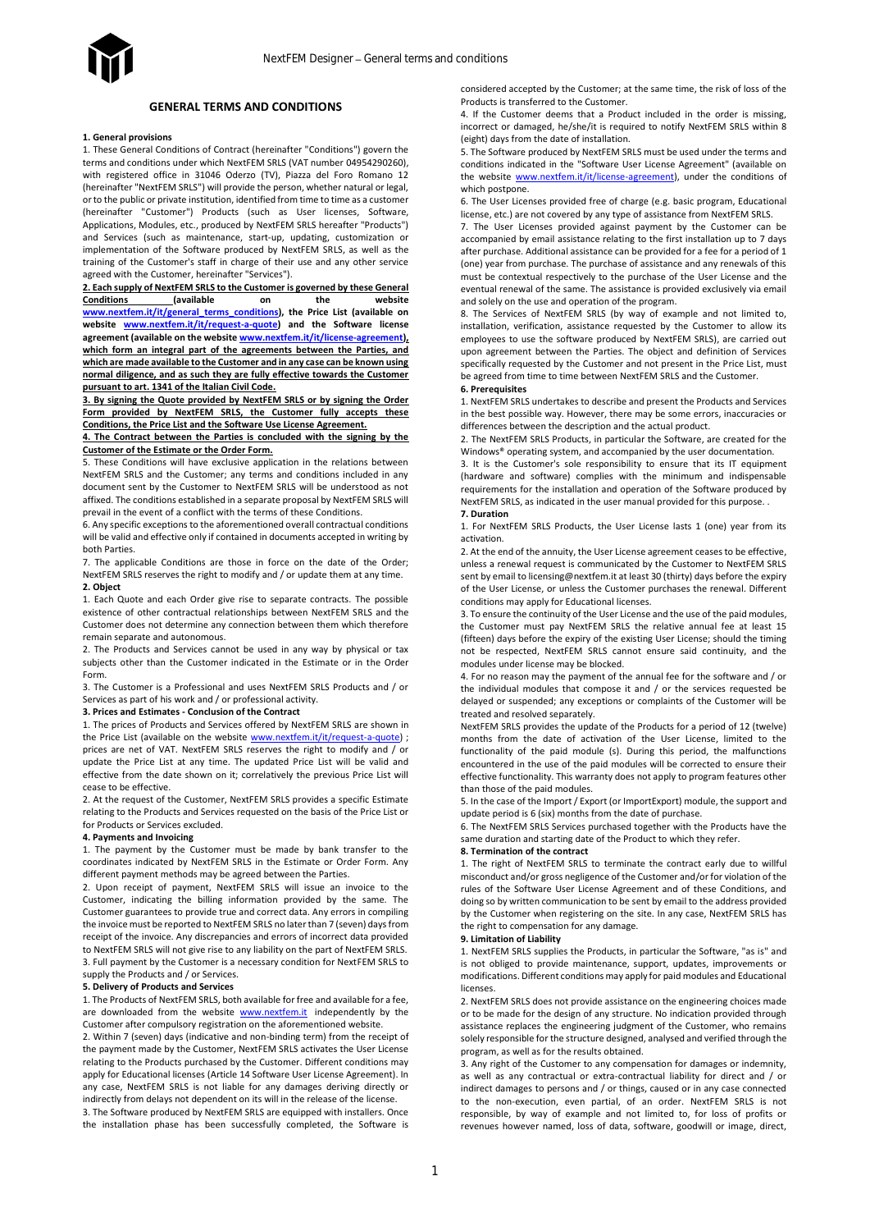# **GENERAL TERMS AND CONDITIONS**

#### **1. General provisions**

1. These General Conditions of Contract (hereinafter "Conditions") govern the terms and conditions under which NextFEM SRLS (VAT number 04954290260), with registered office in 31046 Oderzo (TV), Piazza del Foro Romano 12 (hereinafter "NextFEM SRLS") will provide the person, whether natural or legal, or to the public or private institution, identified from time to time as a customer (hereinafter "Customer") Products (such as User licenses, Software, Applications, Modules, etc., produced by NextFEM SRLS hereafter "Products") and Services (such as maintenance, start-up, updating, customization or implementation of the Software produced by NextFEM SRLS, as well as the training of the Customer's staff in charge of their use and any other service agreed with the Customer, hereinafter "Services").

**2. Each supply of NextFEM SRLS to the Customer is governed by these General Conditions (available on the website [www.nextfem.it/it/general\\_terms\\_conditions\),](http://www.nextfem.it/it/general_terms_conditions) the Price List (available on website [www.nextfem.it/it/request-a-quote\)](www.nextfem.it/it/request-a-quote) and the Software license agreement (available on the websit[e www.nextfem.it/it/license-agreement\)](http://www.nextfem.it/it/license-agreement), which form an integral part of the agreements between the Parties, and which are made available to the Customer and in any case can be known using normal diligence, and as such they are fully effective towards the Customer pursuant to art. 1341 of the Italian Civil Code.**

**3. By signing the Quote provided by NextFEM SRLS or by signing the Order Form provided by NextFEM SRLS, the Customer fully accepts these Conditions, the Price List and the Software Use License Agreement.**

**4. The Contract between the Parties is concluded with the signing by the Customer of the Estimate or the Order Form.**

5. These Conditions will have exclusive application in the relations between NextFEM SRLS and the Customer; any terms and conditions included in any document sent by the Customer to NextFEM SRLS will be understood as not affixed. The conditions established in a separate proposal by NextFEM SRLS will prevail in the event of a conflict with the terms of these Conditions.

6. Any specific exceptions to the aforementioned overall contractual conditions will be valid and effective only if contained in documents accepted in writing by both Parties.

7. The applicable Conditions are those in force on the date of the Order; NextFEM SRLS reserves the right to modify and / or update them at any time. **2. Object**

1. Each Quote and each Order give rise to separate contracts. The possible existence of other contractual relationships between NextFEM SRLS and the Customer does not determine any connection between them which therefore remain separate and autonomous.

2. The Products and Services cannot be used in any way by physical or tax subjects other than the Customer indicated in the Estimate or in the Order Form.

3. The Customer is a Professional and uses NextFEM SRLS Products and / or Services as part of his work and / or professional activity.

**3. Prices and Estimates - Conclusion of the Contract**

1. The prices of Products and Services offered by NextFEM SRLS are shown in the Price List (available on the website [www.nextfem.it/it/request-a-quote\)](file:///C:/Users/Giovanni/Dropbox%20(NextFEM)/Cartella%20del%20team%20NextFEM/LICENZA/www.nextfem.it/it/request-a-quote) ; prices are net of VAT. NextFEM SRLS reserves the right to modify and / or update the Price List at any time. The updated Price List will be valid and effective from the date shown on it; correlatively the previous Price List will cease to be effective.

2. At the request of the Customer, NextFEM SRLS provides a specific Estimate relating to the Products and Services requested on the basis of the Price List or for Products or Services excluded.

# **4. Payments and Invoicing**

1. The payment by the Customer must be made by bank transfer to the coordinates indicated by NextFEM SRLS in the Estimate or Order Form. Any different payment methods may be agreed between the Parties.

2. Upon receipt of payment, NextFEM SRLS will issue an invoice to the Customer, indicating the billing information provided by the same. The Customer guarantees to provide true and correct data. Any errors in compiling the invoice must be reported to NextFEM SRLS no later than 7 (seven) days from receipt of the invoice. Any discrepancies and errors of incorrect data provided to NextFEM SRLS will not give rise to any liability on the part of NextFEM SRLS. 3. Full payment by the Customer is a necessary condition for NextFEM SRLS to supply the Products and / or Services.

# **5. Delivery of Products and Services**

1. The Products of NextFEM SRLS, both available for free and available for a fee, are downloaded from the website **www.nextfem.it** independently by the Customer after compulsory registration on the aforementioned website.

2. Within 7 (seven) days (indicative and non-binding term) from the receipt of the payment made by the Customer, NextFEM SRLS activates the User License relating to the Products purchased by the Customer. Different conditions may apply for Educational licenses (Article 14 Software User License Agreement). In any case, NextFEM SRLS is not liable for any damages deriving directly or indirectly from delays not dependent on its will in the release of the license. 3. The Software produced by NextFEM SRLS are equipped with installers. Once

the installation phase has been successfully completed, the Software is

considered accepted by the Customer; at the same time, the risk of loss of the Products is transferred to the Customer.

4. If the Customer deems that a Product included in the order is missing, incorrect or damaged, he/she/it is required to notify NextFEM SRLS within 8 (eight) days from the date of installation.

5. The Software produced by NextFEM SRLS must be used under the terms and conditions indicated in the "Software User License Agreement" (available on the website [www.nextfem.it/it/license-agreement\),](http://www.nextfem.it/it/license-agreement) under the conditions of which postpone.

6. The User Licenses provided free of charge (e.g. basic program, Educational license, etc.) are not covered by any type of assistance from NextFEM SRLS.

7. The User Licenses provided against payment by the Customer can be accompanied by email assistance relating to the first installation up to 7 days after purchase. Additional assistance can be provided for a fee for a period of 1 (one) year from purchase. The purchase of assistance and any renewals of this must be contextual respectively to the purchase of the User License and the eventual renewal of the same. The assistance is provided exclusively via email and solely on the use and operation of the program.

8. The Services of NextFEM SRLS (by way of example and not limited to, installation, verification, assistance requested by the Customer to allow its employees to use the software produced by NextFEM SRLS), are carried out upon agreement between the Parties. The object and definition of Services specifically requested by the Customer and not present in the Price List, must be agreed from time to time between NextFEM SRLS and the Customer.

### **6. Prerequisites**

1. NextFEM SRLS undertakes to describe and present the Products and Services in the best possible way. However, there may be some errors, inaccuracies or differences between the description and the actual product.

2. The NextFEM SRLS Products, in particular the Software, are created for the Windows® operating system, and accompanied by the user documentation.

3. It is the Customer's sole responsibility to ensure that its IT equipment (hardware and software) complies with the minimum and indispensable requirements for the installation and operation of the Software produced by NextFEM SRLS, as indicated in the user manual provided for this purpose. . **7. Duration**

1. For NextFEM SRLS Products, the User License lasts 1 (one) year from its activation.

2. At the end of the annuity, the User License agreement ceases to be effective, unless a renewal request is communicated by the Customer to NextFEM SRLS sent by email to licensing@nextfem.it at least 30 (thirty) days before the expiry of the User License, or unless the Customer purchases the renewal. Different conditions may apply for Educational licenses.

3. To ensure the continuity of the User License and the use of the paid modules, the Customer must pay NextFEM SRLS the relative annual fee at least 15 (fifteen) days before the expiry of the existing User License; should the timing not be respected, NextFEM SRLS cannot ensure said continuity, and the modules under license may be blocked.

4. For no reason may the payment of the annual fee for the software and / or the individual modules that compose it and / or the services requested be delayed or suspended; any exceptions or complaints of the Customer will be treated and resolved separately.

NextFEM SRLS provides the update of the Products for a period of 12 (twelve) months from the date of activation of the User License, limited to the functionality of the paid module (s). During this period, the malfunctions encountered in the use of the paid modules will be corrected to ensure their effective functionality. This warranty does not apply to program features other than those of the paid modules.

5. In the case of the Import / Export (or ImportExport) module, the support and update period is 6 (six) months from the date of purchase.

6. The NextFEM SRLS Services purchased together with the Products have the same duration and starting date of the Product to which they refer.

### **8. Termination of the contract**

1. The right of NextFEM SRLS to terminate the contract early due to willful misconduct and/or gross negligence of the Customer and/or for violation of the rules of the Software User License Agreement and of these Conditions, and doing so by written communication to be sent by email to the address provided by the Customer when registering on the site. In any case, NextFEM SRLS has the right to compensation for any damage.

# **9. Limitation of Liability**

1. NextFEM SRLS supplies the Products, in particular the Software, "as is" and is not obliged to provide maintenance, support, updates, improvements or modifications. Different conditions may apply for paid modules and Educational licenses.

2. NextFEM SRLS does not provide assistance on the engineering choices made or to be made for the design of any structure. No indication provided through assistance replaces the engineering judgment of the Customer, who remains solely responsible for the structure designed, analysed and verified through the program, as well as for the results obtained.

3. Any right of the Customer to any compensation for damages or indemnity, as well as any contractual or extra-contractual liability for direct and / or indirect damages to persons and / or things, caused or in any case connected to the non-execution, even partial, of an order. NextFEM SRLS is not responsible, by way of example and not limited to, for loss of profits or revenues however named, loss of data, software, goodwill or image, direct,